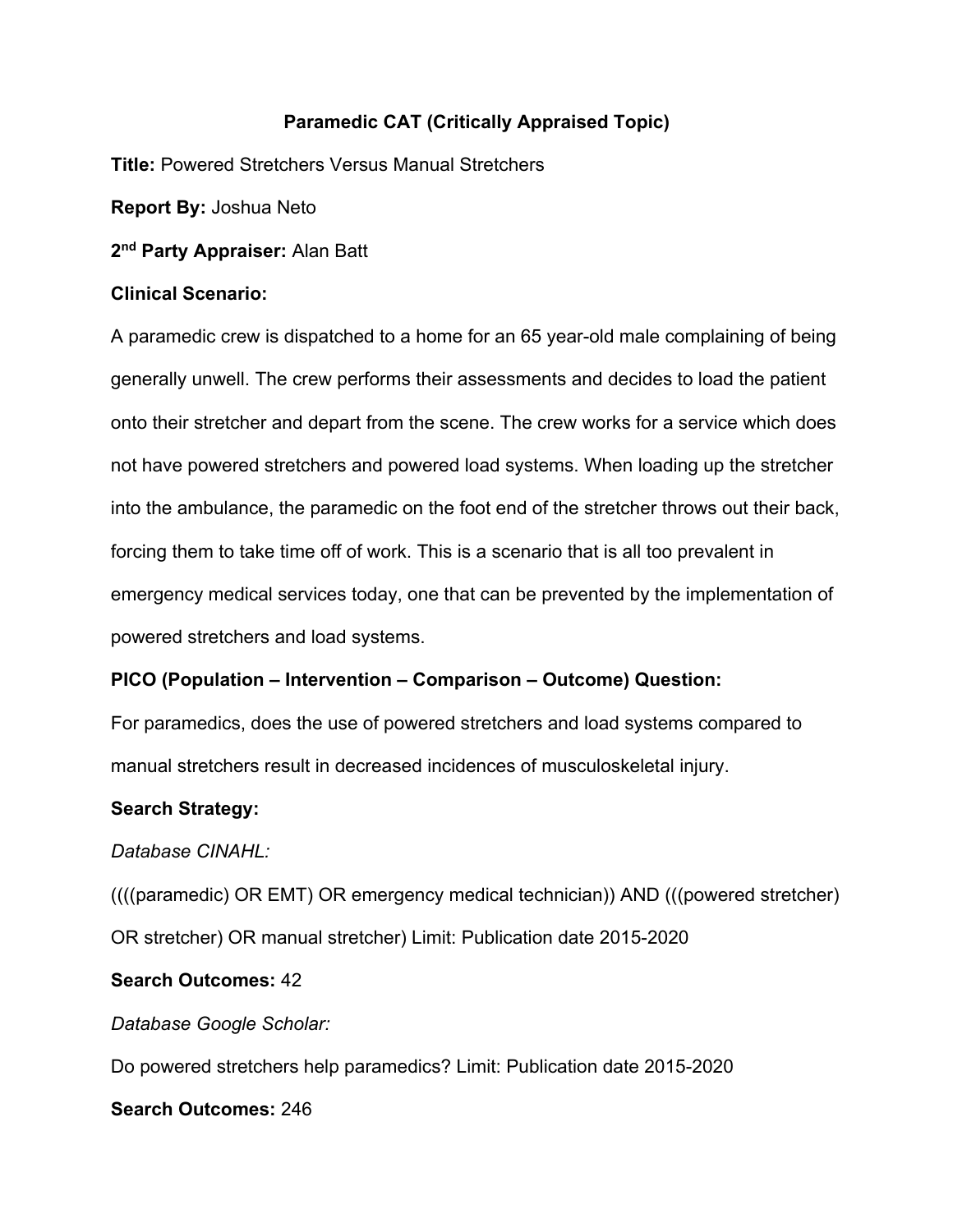# **Paramedic CAT (Critically Appraised Topic)**

**Title:** Powered Stretchers Versus Manual Stretchers

**Report By:** Joshua Neto

**2nd Party Appraiser:** Alan Batt

#### **Clinical Scenario:**

A paramedic crew is dispatched to a home for an 65 year-old male complaining of being generally unwell. The crew performs their assessments and decides to load the patient onto their stretcher and depart from the scene. The crew works for a service which does not have powered stretchers and powered load systems. When loading up the stretcher into the ambulance, the paramedic on the foot end of the stretcher throws out their back, forcing them to take time off of work. This is a scenario that is all too prevalent in emergency medical services today, one that can be prevented by the implementation of powered stretchers and load systems.

# **PICO (Population – Intervention – Comparison – Outcome) Question:**

For paramedics, does the use of powered stretchers and load systems compared to manual stretchers result in decreased incidences of musculoskeletal injury.

# **Search Strategy:**

# *Database CINAHL:*

((((paramedic) OR EMT) OR emergency medical technician)) AND (((powered stretcher) OR stretcher) OR manual stretcher) Limit: Publication date 2015-2020

# **Search Outcomes:** 42

*Database Google Scholar:*

Do powered stretchers help paramedics? Limit: Publication date 2015-2020

**Search Outcomes:** 246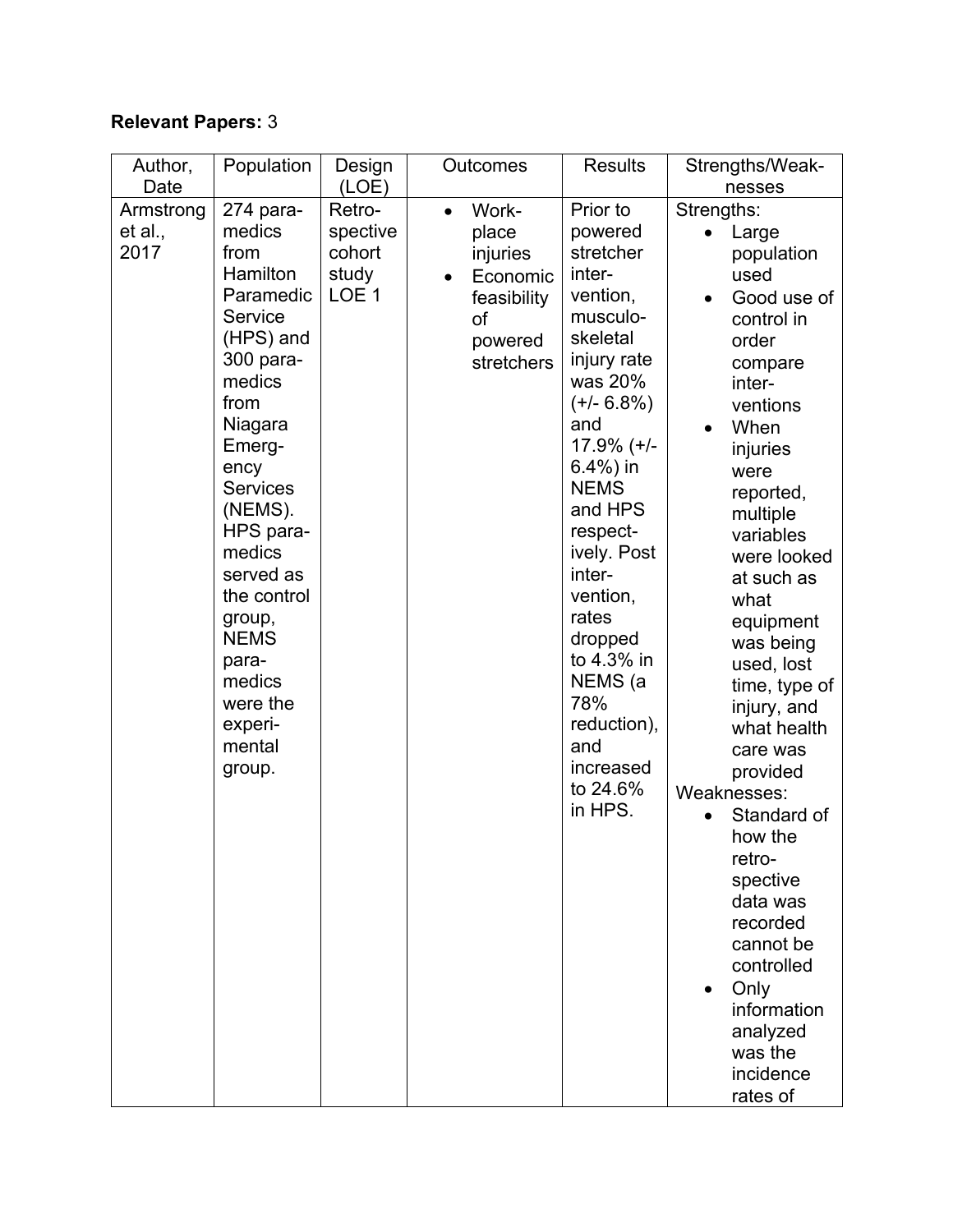# **Relevant Papers:** 3

| Author,              | Population          | Design             | Outcomes                    | <b>Results</b>          | Strengths/Weak-       |
|----------------------|---------------------|--------------------|-----------------------------|-------------------------|-----------------------|
| Date                 |                     | (LOE)              |                             |                         | nesses                |
| Armstrong<br>et al., | 274 para-<br>medics | Retro-<br>spective | Work-<br>$\bullet$<br>place | Prior to<br>powered     | Strengths:            |
| 2017                 | from                | cohort             | injuries                    | stretcher               | Large<br>population   |
|                      | Hamilton            | study              | Economic                    | inter-                  | used                  |
|                      | Paramedic           | LOE <sub>1</sub>   | feasibility                 | vention,                | Good use of           |
|                      | Service             |                    | of                          | musculo-                | control in            |
|                      | (HPS) and           |                    | powered                     | skeletal                | order                 |
|                      | 300 para-           |                    | stretchers                  | injury rate             | compare               |
|                      | medics<br>from      |                    |                             | was 20%<br>$(+/- 6.8%)$ | inter-                |
|                      | Niagara             |                    |                             | and                     | ventions<br>When      |
|                      | Emerg-              |                    |                             | $17.9\%$ (+/-           | injuries              |
|                      | ency                |                    |                             | $6.4%$ ) in             | were                  |
|                      | <b>Services</b>     |                    |                             | <b>NEMS</b>             | reported,             |
|                      | (NEMS).             |                    |                             | and HPS                 | multiple              |
|                      | HPS para-           |                    |                             | respect-                | variables             |
|                      | medics<br>served as |                    |                             | ively. Post<br>inter-   | were looked           |
|                      | the control         |                    |                             | vention,                | at such as<br>what    |
|                      | group,              |                    |                             | rates                   | equipment             |
|                      | <b>NEMS</b>         |                    |                             | dropped                 | was being             |
|                      | para-               |                    |                             | to 4.3% in              | used, lost            |
|                      | medics              |                    |                             | NEMS (a                 | time, type of         |
|                      | were the            |                    |                             | 78%                     | injury, and           |
|                      | experi-<br>mental   |                    |                             | reduction),<br>and      | what health           |
|                      | group.              |                    |                             | increased               | care was<br>provided  |
|                      |                     |                    |                             | to 24.6%                | Weaknesses:           |
|                      |                     |                    |                             | in HPS.                 | Standard of           |
|                      |                     |                    |                             |                         | how the               |
|                      |                     |                    |                             |                         | retro-                |
|                      |                     |                    |                             |                         | spective              |
|                      |                     |                    |                             |                         | data was              |
|                      |                     |                    |                             |                         | recorded<br>cannot be |
|                      |                     |                    |                             |                         | controlled            |
|                      |                     |                    |                             |                         | Only                  |
|                      |                     |                    |                             |                         | information           |
|                      |                     |                    |                             |                         | analyzed              |
|                      |                     |                    |                             |                         | was the               |
|                      |                     |                    |                             |                         | incidence             |
|                      |                     |                    |                             |                         | rates of              |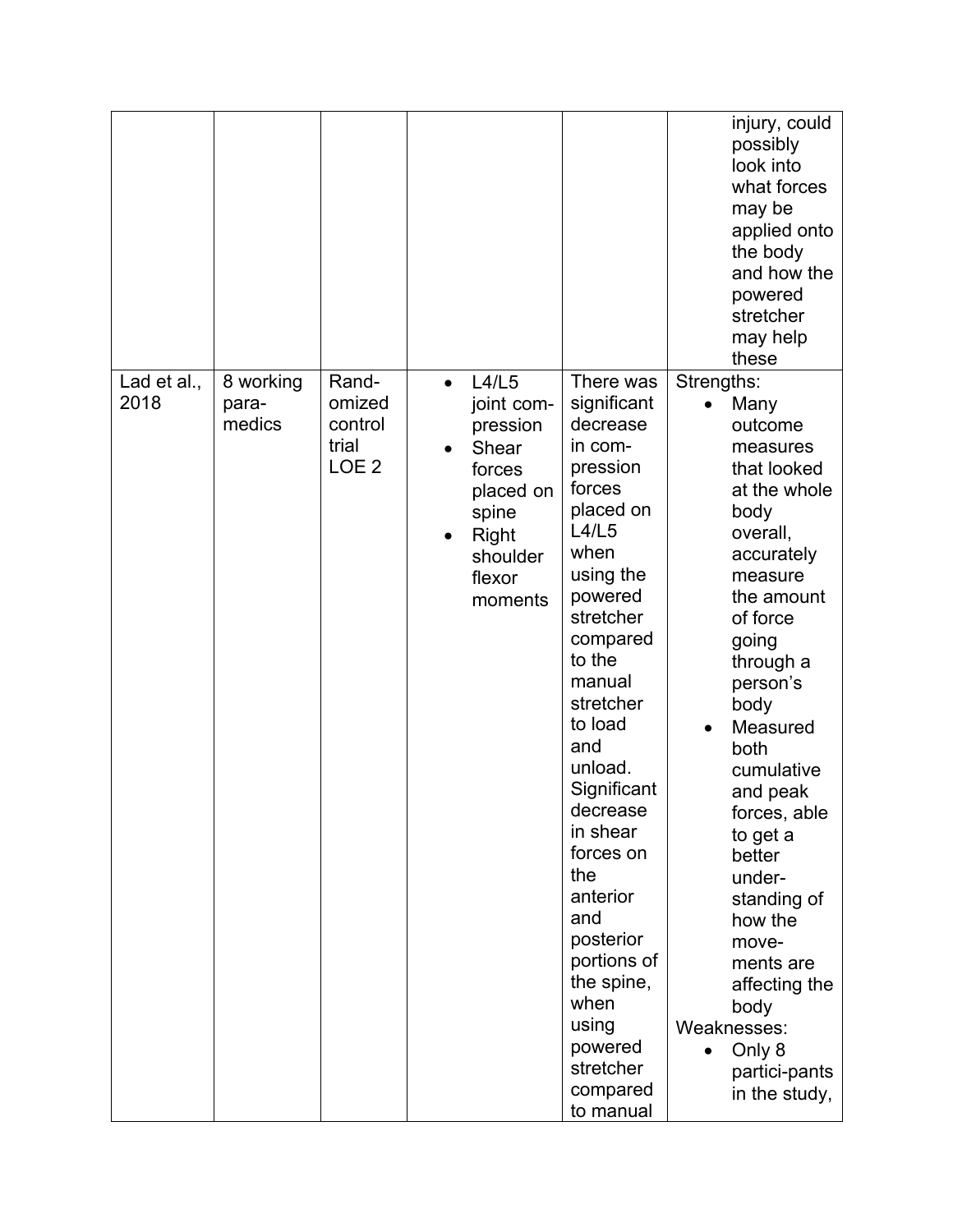|                     |                              |                                                         |                                                                                                                                              |                                                                                                                                                                                                                                                                                                                                                                                                              | injury, could<br>possibly<br>look into<br>what forces<br>may be<br>applied onto<br>the body<br>and how the<br>powered<br>stretcher<br>may help<br>these                                                                                                                                                                                                                                                                                               |
|---------------------|------------------------------|---------------------------------------------------------|----------------------------------------------------------------------------------------------------------------------------------------------|--------------------------------------------------------------------------------------------------------------------------------------------------------------------------------------------------------------------------------------------------------------------------------------------------------------------------------------------------------------------------------------------------------------|-------------------------------------------------------------------------------------------------------------------------------------------------------------------------------------------------------------------------------------------------------------------------------------------------------------------------------------------------------------------------------------------------------------------------------------------------------|
| Lad et al.,<br>2018 | 8 working<br>para-<br>medics | Rand-<br>omized<br>control<br>trial<br>LOE <sub>2</sub> | L4/L5<br>$\bullet$<br>joint com-<br>pression<br>Shear<br>forces<br>placed on<br>spine<br>Right<br>$\bullet$<br>shoulder<br>flexor<br>moments | There was<br>significant<br>decrease<br>in com-<br>pression<br>forces<br>placed on<br>L4/L5<br>when<br>using the<br>powered<br>stretcher<br>compared<br>to the<br>manual<br>stretcher<br>to load<br>and<br>unload.<br>Significant<br>decrease<br>in shear<br>forces on<br>the<br>anterior<br>and<br>posterior<br>portions of<br>the spine,<br>when<br>using<br>powered<br>stretcher<br>compared<br>to manual | Strengths:<br>Many<br>$\bullet$<br>outcome<br>measures<br>that looked<br>at the whole<br>body<br>overall,<br>accurately<br>measure<br>the amount<br>of force<br>going<br>through a<br>person's<br>body<br>Measured<br>both<br>cumulative<br>and peak<br>forces, able<br>to get a<br>better<br>under-<br>standing of<br>how the<br>move-<br>ments are<br>affecting the<br>body<br>Weaknesses:<br>Only 8<br>$\bullet$<br>partici-pants<br>in the study, |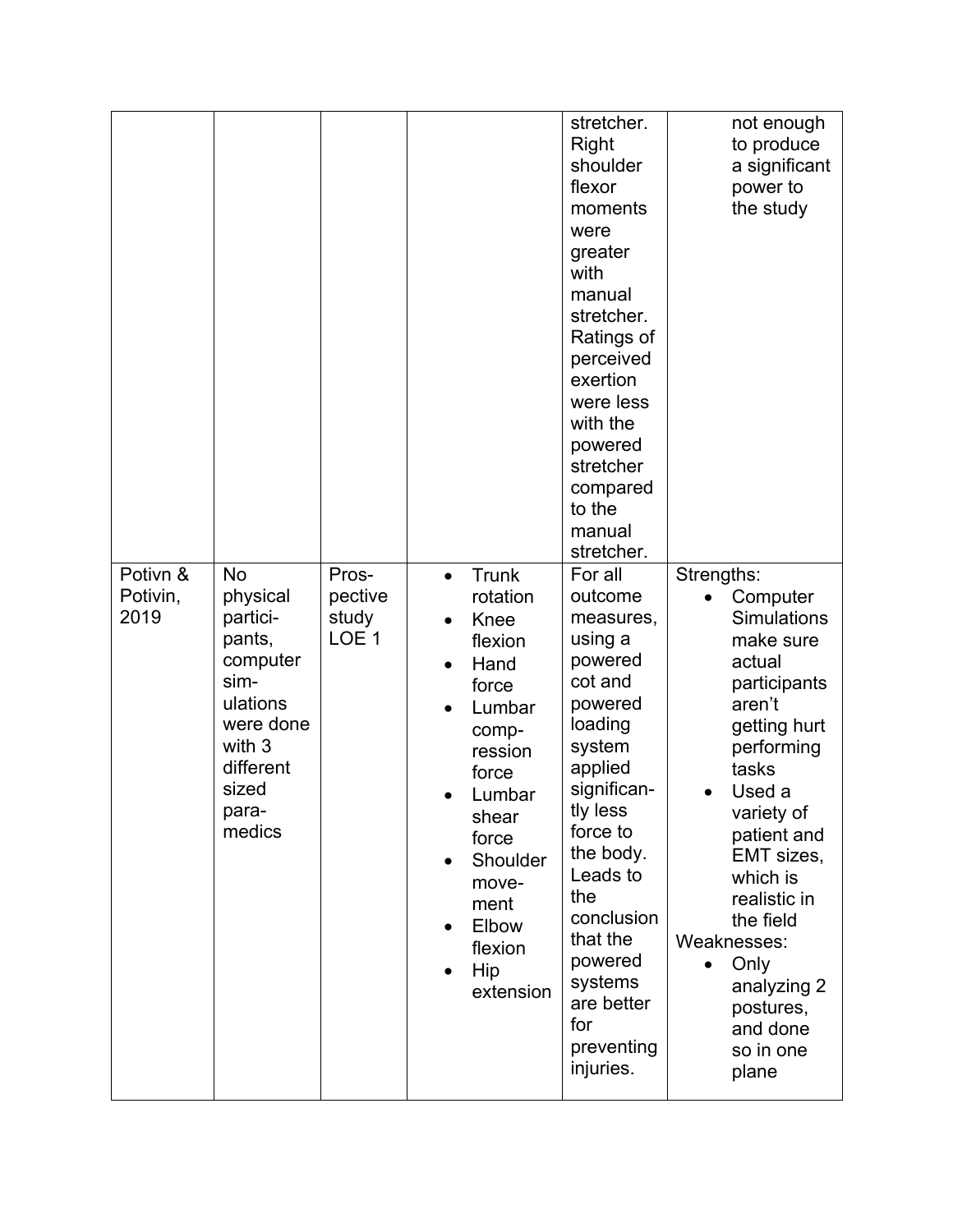| Potivn &         | <b>No</b>                                                                                                                      | Pros-                                | Trunk<br>$\bullet$                                                                                                                                                                                | stretcher.<br><b>Right</b><br>shoulder<br>flexor<br>moments<br>were<br>greater<br>with<br>manual<br>stretcher.<br>Ratings of<br>perceived<br>exertion<br>were less<br>with the<br>powered<br>stretcher<br>compared<br>to the<br>manual<br>stretcher.<br>For all         | not enough<br>to produce<br>a significant<br>power to<br>the study<br>Strengths:                                                                                                                                                                                                                                       |
|------------------|--------------------------------------------------------------------------------------------------------------------------------|--------------------------------------|---------------------------------------------------------------------------------------------------------------------------------------------------------------------------------------------------|-------------------------------------------------------------------------------------------------------------------------------------------------------------------------------------------------------------------------------------------------------------------------|------------------------------------------------------------------------------------------------------------------------------------------------------------------------------------------------------------------------------------------------------------------------------------------------------------------------|
| Potivin,<br>2019 | physical<br>partici-<br>pants,<br>computer<br>sim-<br>ulations<br>were done<br>with 3<br>different<br>sized<br>para-<br>medics | pective<br>study<br>LOE <sub>1</sub> | rotation<br>Knee<br>$\bullet$<br>flexion<br>Hand<br>force<br>Lumbar<br>comp-<br>ression<br>force<br>Lumbar<br>shear<br>force<br>Shoulder<br>move-<br>ment<br>Elbow<br>flexion<br>Hip<br>extension | outcome<br>measures,<br>using a<br>powered<br>cot and<br>powered<br>loading<br>system<br>applied<br>significan-<br>tly less<br>force to<br>the body.<br>Leads to<br>the<br>conclusion<br>that the<br>powered<br>systems<br>are better<br>for<br>preventing<br>injuries. | Computer<br><b>Simulations</b><br>make sure<br>actual<br>participants<br>aren't<br>getting hurt<br>performing<br>tasks<br>Used a<br>variety of<br>patient and<br>EMT sizes,<br>which is<br>realistic in<br>the field<br>Weaknesses:<br>Only<br>$\bullet$<br>analyzing 2<br>postures,<br>and done<br>so in one<br>plane |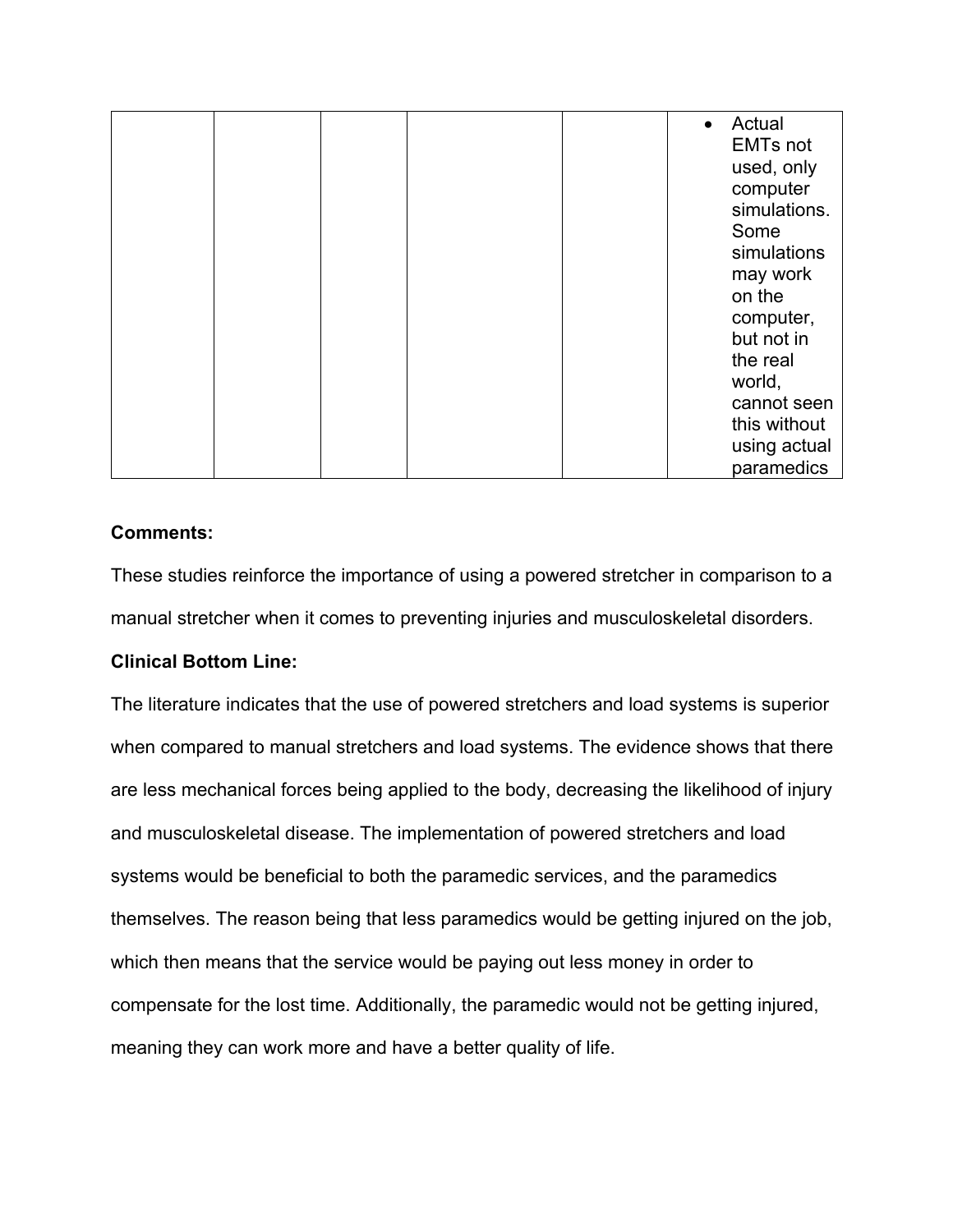|  |  | Actual<br>$\bullet$ |
|--|--|---------------------|
|  |  | <b>EMTs not</b>     |
|  |  | used, only          |
|  |  | computer            |
|  |  | simulations.        |
|  |  | Some                |
|  |  | simulations         |
|  |  | may work            |
|  |  | on the              |
|  |  | computer,           |
|  |  | but not in          |
|  |  | the real            |
|  |  | world,              |
|  |  | cannot seen         |
|  |  | this without        |
|  |  | using actual        |
|  |  | paramedics          |

#### **Comments:**

These studies reinforce the importance of using a powered stretcher in comparison to a manual stretcher when it comes to preventing injuries and musculoskeletal disorders.

# **Clinical Bottom Line:**

The literature indicates that the use of powered stretchers and load systems is superior when compared to manual stretchers and load systems. The evidence shows that there are less mechanical forces being applied to the body, decreasing the likelihood of injury and musculoskeletal disease. The implementation of powered stretchers and load systems would be beneficial to both the paramedic services, and the paramedics themselves. The reason being that less paramedics would be getting injured on the job, which then means that the service would be paying out less money in order to compensate for the lost time. Additionally, the paramedic would not be getting injured, meaning they can work more and have a better quality of life.